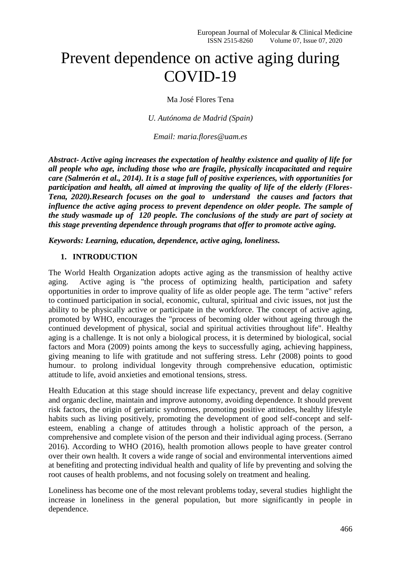# Prevent dependence on active aging during COVID-19

Ma José Flores Tena

*U. Autónoma de Madrid (Spain)*

*Email: [maria.flores@uam.es](mailto:maria.flores@uam.es)*

*Abstract- Active aging increases the expectation of healthy existence and quality of life for all people who age, including those who are fragile, physically incapacitated and require care (Salmerón et al., 2014). It is a stage full of positive experiences, with opportunities for participation and health, all aimed at improving the quality of life of the elderly (Flores-Tena, 2020).Research focuses on the goal to understand the causes and factors that influence the active aging process to prevent dependence on older people. The sample of the study wasmade up of 120 people. The conclusions of the study are part of society at this stage preventing dependence through programs that offer to promote active aging.*

*Keywords: Learning, education, dependence, active aging, loneliness.*

## **1. INTRODUCTION**

The World Health Organization adopts active aging as the transmission of healthy active aging. Active aging is "the process of optimizing health, participation and safety opportunities in order to improve quality of life as older people age. The term "active" refers to continued participation in social, economic, cultural, spiritual and civic issues, not just the ability to be physically active or participate in the workforce. The concept of active aging, promoted by WHO, encourages the "process of becoming older without ageing through the continued development of physical, social and spiritual activities throughout life". Healthy aging is a challenge. It is not only a biological process, it is determined by biological, social factors and Mora (2009) points among the keys to successfully aging, achieving happiness, giving meaning to life with gratitude and not suffering stress. Lehr (2008) points to good humour. to prolong individual longevity through comprehensive education, optimistic attitude to life, avoid anxieties and emotional tensions, stress.

Health Education at this stage should increase life expectancy, prevent and delay cognitive and organic decline, maintain and improve autonomy, avoiding dependence. It should prevent risk factors, the origin of geriatric syndromes, promoting positive attitudes, healthy lifestyle habits such as living positively, promoting the development of good self-concept and selfesteem, enabling a change of attitudes through a holistic approach of the person, a comprehensive and complete vision of the person and their individual aging process. (Serrano 2016). According to WHO (2016), health promotion allows people to have greater control over their own health. It covers a wide range of social and environmental interventions aimed at benefiting and protecting individual health and quality of life by preventing and solving the root causes of health problems, and not focusing solely on treatment and healing.

Loneliness has become one of the most relevant problems today, several studies highlight the increase in loneliness in the general population, but more significantly in people in dependence.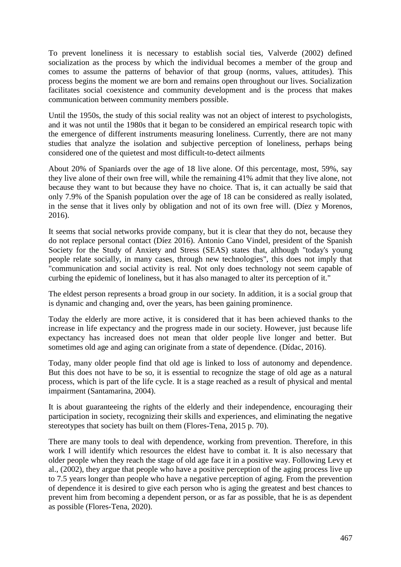To prevent loneliness it is necessary to establish social ties, Valverde (2002) defined socialization as the process by which the individual becomes a member of the group and comes to assume the patterns of behavior of that group (norms, values, attitudes). This process begins the moment we are born and remains open throughout our lives. Socialization facilitates social coexistence and community development and is the process that makes communication between community members possible.

Until the 1950s, the study of this social reality was not an object of interest to psychologists, and it was not until the 1980s that it began to be considered an empirical research topic with the emergence of different instruments measuring loneliness. Currently, there are not many studies that analyze the isolation and subjective perception of loneliness, perhaps being considered one of the quietest and most difficult-to-detect ailments

About 20% of Spaniards over the age of 18 live alone. Of this percentage, most, 59%, say they live alone of their own free will, while the remaining 41% admit that they live alone, not because they want to but because they have no choice. That is, it can actually be said that only 7.9% of the Spanish population over the age of 18 can be considered as really isolated, in the sense that it lives only by obligation and not of its own free will. (Díez y Morenos, 2016).

It seems that social networks provide company, but it is clear that they do not, because they do not replace personal contact (Díez 2016). Antonio Cano Vindel, president of the Spanish Society for the Study of Anxiety and Stress (SEAS) states that, although "today's young people relate socially, in many cases, through new technologies", this does not imply that "communication and social activity is real. Not only does technology not seem capable of curbing the epidemic of loneliness, but it has also managed to alter its perception of it."

The eldest person represents a broad group in our society. In addition, it is a social group that is dynamic and changing and, over the years, has been gaining prominence.

Today the elderly are more active, it is considered that it has been achieved thanks to the increase in life expectancy and the progress made in our society. However, just because life expectancy has increased does not mean that older people live longer and better. But sometimes old age and aging can originate from a state of dependence. (Dídac, 2016).

Today, many older people find that old age is linked to loss of autonomy and dependence. But this does not have to be so, it is essential to recognize the stage of old age as a natural process, which is part of the life cycle. It is a stage reached as a result of physical and mental impairment (Santamarina, 2004).

It is about guaranteeing the rights of the elderly and their independence, encouraging their participation in society, recognizing their skills and experiences, and eliminating the negative stereotypes that society has built on them (Flores-Tena, 2015 p. 70).

There are many tools to deal with dependence, working from prevention. Therefore, in this work I will identify which resources the eldest have to combat it. It is also necessary that older people when they reach the stage of old age face it in a positive way. Following Levy et al., (2002), they argue that people who have a positive perception of the aging process live up to 7.5 years longer than people who have a negative perception of aging. From the prevention of dependence it is desired to give each person who is aging the greatest and best chances to prevent him from becoming a dependent person, or as far as possible, that he is as dependent as possible (Flores-Tena, 2020).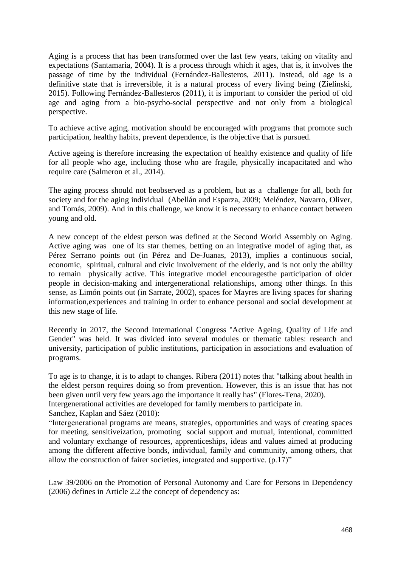Aging is a process that has been transformed over the last few years, taking on vitality and expectations (Santamaria, 2004). It is a process through which it ages, that is, it involves the passage of time by the individual (Fernández-Ballesteros, 2011). Instead, old age is a definitive state that is irreversible, it is a natural process of every living being (Zielinski, 2015). Following Fernández-Ballesteros (2011), it is important to consider the period of old age and aging from a bio-psycho-social perspective and not only from a biological perspective.

To achieve active aging, motivation should be encouraged with programs that promote such participation, healthy habits, prevent dependence, is the objective that is pursued.

Active ageing is therefore increasing the expectation of healthy existence and quality of life for all people who age, including those who are fragile, physically incapacitated and who require care (Salmeron et al., 2014).

The aging process should not beobserved as a problem, but as a challenge for all, both for society and for the aging individual (Abellán and Esparza, 2009; Meléndez, Navarro, Oliver, and Tomás, 2009). And in this challenge, we know it is necessary to enhance contact between young and old.

A new concept of the eldest person was defined at the Second World Assembly on Aging. Active aging was one of its star themes, betting on an integrative model of aging that, as Pérez Serrano points out (in Pérez and De-Juanas, 2013), implies a continuous social, economic, spiritual, cultural and civic involvement of the elderly, and is not only the ability to remain physically active. This integrative model encouragesthe participation of older people in decision-making and intergenerational relationships, among other things. In this sense, as Limón points out (in Sarrate, 2002), spaces for Mayres are living spaces for sharing information,experiences and training in order to enhance personal and social development at this new stage of life.

Recently in 2017, the Second International Congress ''Active Ageing, Quality of Life and Gender'' was held. It was divided into several modules or thematic tables: research and university, participation of public institutions, participation in associations and evaluation of programs.

To age is to change, it is to adapt to changes. Ribera (2011) notes that "talking about health in the eldest person requires doing so from prevention. However, this is an issue that has not been given until very few years ago the importance it really has" (Flores-Tena, 2020). Intergenerational activities are developed for family members to participate in. Sanchez, Kaplan and Sáez (2010):

"Intergenerational programs are means, strategies, opportunities and ways of creating spaces for meeting, sensitiveization, promoting social support and mutual, intentional, committed and voluntary exchange of resources, apprenticeships, ideas and values aimed at producing among the different affective bonds, individual, family and community, among others, that allow the construction of fairer societies, integrated and supportive. (p.17)"

Law 39/2006 on the Promotion of Personal Autonomy and Care for Persons in Dependency (2006) defines in Article 2.2 the concept of dependency as: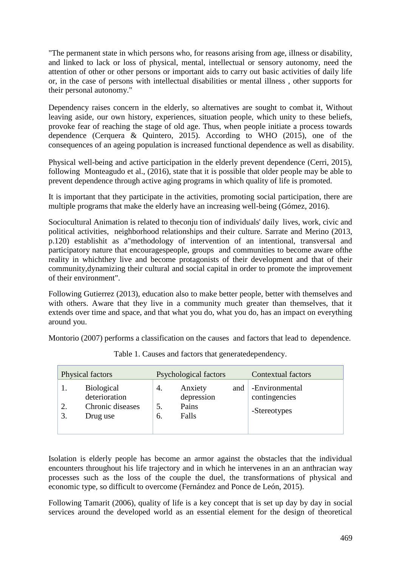"The permanent state in which persons who, for reasons arising from age, illness or disability, and linked to lack or loss of physical, mental, intellectual or sensory autonomy, need the attention of other or other persons or important aids to carry out basic activities of daily life or, in the case of persons with intellectual disabilities or mental illness , other supports for their personal autonomy."

Dependency raises concern in the elderly, so alternatives are sought to combat it, Without leaving aside, our own history, experiences, situation people, which unity to these beliefs, provoke fear of reaching the stage of old age. Thus, when people initiate a process towards dependence (Cerquera & Quintero, 2015). According to WHO (2015), one of the consequences of an ageing population is increased functional dependence as well as disability.

Physical well-being and active participation in the elderly prevent dependence (Cerri, 2015), following Monteagudo et al., (2016), state that it is possible that older people may be able to prevent dependence through active aging programs in which quality of life is promoted.

It is important that they participate in the activities, promoting social participation, there are multiple programs that make the elderly have an increasing well-being (Gómez, 2016).

Sociocultural Animation is related to theconju tion of individuals' daily lives, work, civic and political activities, neighborhood relationships and their culture. Sarrate and Merino (2013, p.120) establishit as a"methodology of intervention of an intentional, transversal and participatory nature that encouragespeople, groups and communities to become aware ofthe reality in whichthey live and become protagonists of their development and that of their community,dynamizing their cultural and social capital in order to promote the improvement of their environment".

Following Gutierrez (2013), education also to make better people, better with themselves and with others. Aware that they live in a community much greater than themselves, that it extends over time and space, and that what you do, what you do, has an impact on everything around you.

Montorio (2007) performs a classification on the causes and factors that lead to dependence.

| Physical factors                                                         | Psychological factors                                            | Contextual factors                              |
|--------------------------------------------------------------------------|------------------------------------------------------------------|-------------------------------------------------|
| <b>Biological</b><br>deterioration<br>Chronic diseases<br>3.<br>Drug use | Anxiety<br>and<br>4.<br>depression<br>Pains<br>5.<br>Falls<br>6. | -Environmental<br>contingencies<br>-Stereotypes |

Table 1. Causes and factors that generatedependency.

Isolation is elderly people has become an armor against the obstacles that the individual encounters throughout his life trajectory and in which he intervenes in an an anthracian way processes such as the loss of the couple the duel, the transformations of physical and economic type, so difficult to overcome (Fernández and Ponce de León, 2015).

Following Tamarit (2006), quality of life is a key concept that is set up day by day in social services around the developed world as an essential element for the design of theoretical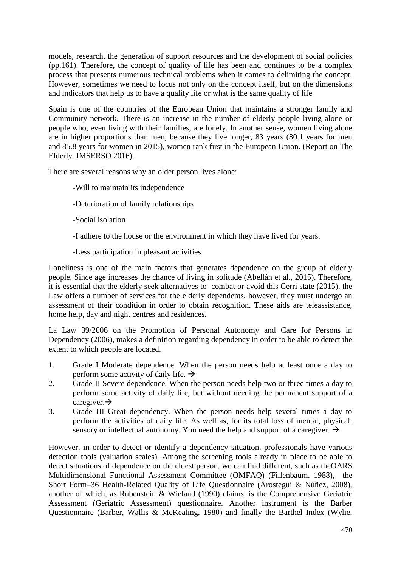models, research, the generation of support resources and the development of social policies (pp.161). Therefore, the concept of quality of life has been and continues to be a complex process that presents numerous technical problems when it comes to delimiting the concept. However, sometimes we need to focus not only on the concept itself, but on the dimensions and indicators that help us to have a quality life or what is the same quality of life

Spain is one of the countries of the European Union that maintains a stronger family and Community network. There is an increase in the number of elderly people living alone or people who, even living with their families, are lonely. In another sense, women living alone are in higher proportions than men, because they live longer, 83 years (80.1 years for men and 85.8 years for women in 2015), women rank first in the European Union. (Report on The Elderly. IMSERSO 2016).

There are several reasons why an older person lives alone:

- -Will to maintain its independence
- -Deterioration of family relationships
- -Social isolation
- -I adhere to the house or the environment in which they have lived for years.
- -Less participation in pleasant activities.

Loneliness is one of the main factors that generates dependence on the group of elderly people. Since age increases the chance of living in solitude (Abellán et al., 2015). Therefore, it is essential that the elderly seek alternatives to combat or avoid this Cerri state (2015), the Law offers a number of services for the elderly dependents, however, they must undergo an assessment of their condition in order to obtain recognition. These aids are teleassistance, home help, day and night centres and residences.

La Law 39/2006 on the Promotion of Personal Autonomy and Care for Persons in Dependency (2006), makes a definition regarding dependency in order to be able to detect the extent to which people are located.

- 1. Grade I Moderate dependence. When the person needs help at least once a day to perform some activity of daily life.  $\rightarrow$
- 2. Grade II Severe dependence. When the person needs help two or three times a day to perform some activity of daily life, but without needing the permanent support of a caregiver. $\rightarrow$
- 3. Grade III Great dependency. When the person needs help several times a day to perform the activities of daily life. As well as, for its total loss of mental, physical, sensory or intellectual autonomy. You need the help and support of a caregiver.  $\rightarrow$

However, in order to detect or identify a dependency situation, professionals have various detection tools (valuation scales). Among the screening tools already in place to be able to detect situations of dependence on the eldest person, we can find different, such as theOARS Multidimensional Functional Assessment Committee (OMFAQ) (Fillenbaum, 1988), the Short Form–36 Health-Related Quality of Life Questionnaire (Arostegui & Núñez, 2008), another of which, as Rubenstein & Wieland (1990) claims, is the Comprehensive Geriatric Assessment (Geriatric Assessment) questionnaire. Another instrument is the Barber Questionnaire (Barber, Wallis & McKeating, 1980) and finally the Barthel Index (Wylie,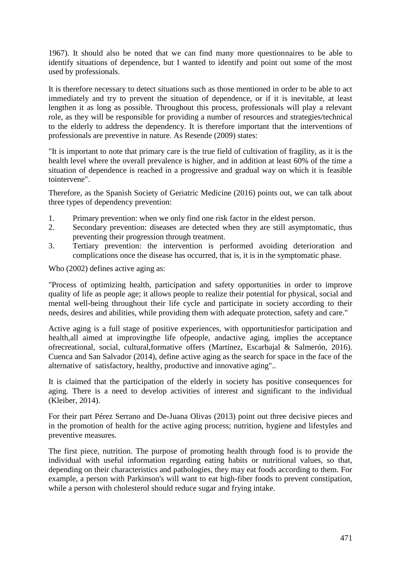1967). It should also be noted that we can find many more questionnaires to be able to identify situations of dependence, but I wanted to identify and point out some of the most used by professionals.

It is therefore necessary to detect situations such as those mentioned in order to be able to act immediately and try to prevent the situation of dependence, or if it is inevitable, at least lengthen it as long as possible. Throughout this process, professionals will play a relevant role, as they will be responsible for providing a number of resources and strategies/technical to the elderly to address the dependency. It is therefore important that the interventions of professionals are preventive in nature. As Resende (2009) states:

"It is important to note that primary care is the true field of cultivation of fragility, as it is the health level where the overall prevalence is higher, and in addition at least 60% of the time a situation of dependence is reached in a progressive and gradual way on which it is feasible tointervene".

Therefore, as the Spanish Society of Geriatric Medicine (2016) points out, we can talk about three types of dependency prevention:

- 1. Primary prevention: when we only find one risk factor in the eldest person.
- 2. Secondary prevention: diseases are detected when they are still asymptomatic, thus preventing their progression through treatment.
- 3. Tertiary prevention: the intervention is performed avoiding deterioration and complications once the disease has occurred, that is, it is in the symptomatic phase.

Who (2002) defines active aging as:

"Process of optimizing health, participation and safety opportunities in order to improve quality of life as people age; it allows people to realize their potential for physical, social and mental well-being throughout their life cycle and participate in society according to their needs, desires and abilities, while providing them with adequate protection, safety and care."

Active aging is a full stage of positive experiences, with opportunitiesfor participation and health,all aimed at improvingthe life ofpeople, andactive aging, implies the acceptance ofrecreational, social, cultural,formative offers (Martínez, Escarbajal & Salmerón, 2016). Cuenca and San Salvador (2014), define active aging as the search for space in the face of the alternative of satisfactory, healthy, productive and innovative aging"..

It is claimed that the participation of the elderly in society has positive consequences for aging. There is a need to develop activities of interest and significant to the individual (Kleiber, 2014).

For their part Pérez Serrano and De-Juana Olivas (2013) point out three decisive pieces and in the promotion of health for the active aging process; nutrition, hygiene and lifestyles and preventive measures.

The first piece, nutrition. The purpose of promoting health through food is to provide the individual with useful information regarding eating habits or nutritional values, so that, depending on their characteristics and pathologies, they may eat foods according to them. For example, a person with Parkinson's will want to eat high-fiber foods to prevent constipation, while a person with cholesterol should reduce sugar and frying intake.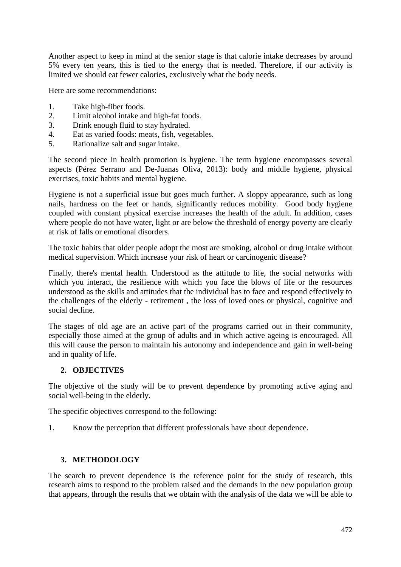Another aspect to keep in mind at the senior stage is that calorie intake decreases by around 5% every ten years, this is tied to the energy that is needed. Therefore, if our activity is limited we should eat fewer calories, exclusively what the body needs.

Here are some recommendations:

- 1. Take high-fiber foods.
- 2. Limit alcohol intake and high-fat foods.
- 3. Drink enough fluid to stay hydrated.
- 4. Eat as varied foods: meats, fish, vegetables.
- 5. Rationalize salt and sugar intake.

The second piece in health promotion is hygiene. The term hygiene encompasses several aspects (Pérez Serrano and De-Juanas Oliva, 2013): body and middle hygiene, physical exercises, toxic habits and mental hygiene.

Hygiene is not a superficial issue but goes much further. A sloppy appearance, such as long nails, hardness on the feet or hands, significantly reduces mobility. Good body hygiene coupled with constant physical exercise increases the health of the adult. In addition, cases where people do not have water, light or are below the threshold of energy poverty are clearly at risk of falls or emotional disorders.

The toxic habits that older people adopt the most are smoking, alcohol or drug intake without medical supervision. Which increase your risk of heart or carcinogenic disease?

Finally, there's mental health. Understood as the attitude to life, the social networks with which you interact, the resilience with which you face the blows of life or the resources understood as the skills and attitudes that the individual has to face and respond effectively to the challenges of the elderly - retirement , the loss of loved ones or physical, cognitive and social decline.

The stages of old age are an active part of the programs carried out in their community, especially those aimed at the group of adults and in which active ageing is encouraged. All this will cause the person to maintain his autonomy and independence and gain in well-being and in quality of life.

### **2. OBJECTIVES**

The objective of the study will be to prevent dependence by promoting active aging and social well-being in the elderly.

The specific objectives correspond to the following:

1. Know the perception that different professionals have about dependence.

### **3. METHODOLOGY**

The search to prevent dependence is the reference point for the study of research, this research aims to respond to the problem raised and the demands in the new population group that appears, through the results that we obtain with the analysis of the data we will be able to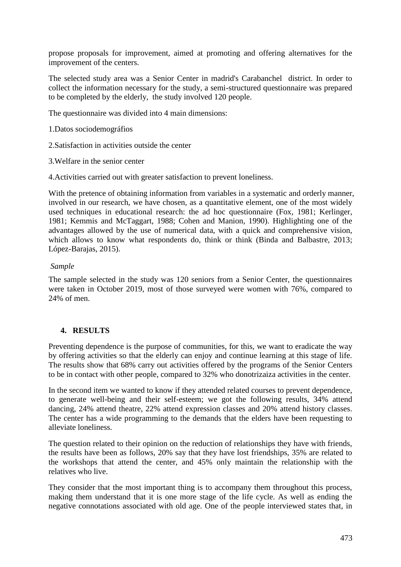propose proposals for improvement, aimed at promoting and offering alternatives for the improvement of the centers.

The selected study area was a Senior Center in madrid's Carabanchel district. In order to collect the information necessary for the study, a semi-structured questionnaire was prepared to be completed by the elderly, the study involved 120 people.

The questionnaire was divided into 4 main dimensions:

1.Datos sociodemográfios

2.Satisfaction in activities outside the center

3.Welfare in the senior center

4.Activities carried out with greater satisfaction to prevent loneliness.

With the pretence of obtaining information from variables in a systematic and orderly manner, involved in our research, we have chosen, as a quantitative element, one of the most widely used techniques in educational research: the ad hoc questionnaire (Fox, 1981; Kerlinger, 1981; Kemmis and McTaggart, 1988; Cohen and Manion, 1990). Highlighting one of the advantages allowed by the use of numerical data, with a quick and comprehensive vision, which allows to know what respondents do, think or think (Binda and Balbastre, 2013; López-Barajas, 2015).

## *Sample*

The sample selected in the study was 120 seniors from a Senior Center, the questionnaires were taken in October 2019, most of those surveyed were women with 76%, compared to 24% of men.

# **4. RESULTS**

Preventing dependence is the purpose of communities, for this, we want to eradicate the way by offering activities so that the elderly can enjoy and continue learning at this stage of life. The results show that 68% carry out activities offered by the programs of the Senior Centers to be in contact with other people, compared to 32% who donotrizaiza activities in the center.

In the second item we wanted to know if they attended related courses to prevent dependence, to generate well-being and their self-esteem; we got the following results, 34% attend dancing, 24% attend theatre, 22% attend expression classes and 20% attend history classes. The center has a wide programming to the demands that the elders have been requesting to alleviate loneliness.

The question related to their opinion on the reduction of relationships they have with friends, the results have been as follows, 20% say that they have lost friendships, 35% are related to the workshops that attend the center, and 45% only maintain the relationship with the relatives who live.

They consider that the most important thing is to accompany them throughout this process, making them understand that it is one more stage of the life cycle. As well as ending the negative connotations associated with old age. One of the people interviewed states that, in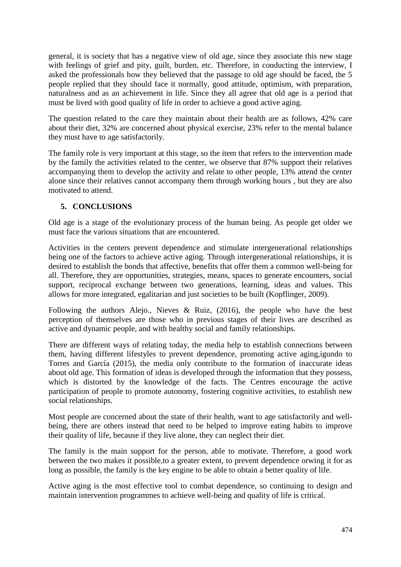general, it is society that has a negative view of old age, since they associate this new stage with feelings of grief and pity, guilt, burden, etc. Therefore, in conducting the interview, I asked the professionals how they believed that the passage to old age should be faced, the 5 people replied that they should face it normally, good attitude, optimism, with preparation, naturalness and as an achievement in life. Since they all agree that old age is a period that must be lived with good quality of life in order to achieve a good active aging.

The question related to the care they maintain about their health are as follows, 42% care about their diet, 32% are concerned about physical exercise, 23% refer to the mental balance they must have to age satisfactorily.

The family role is very important at this stage, so the item that refers to the intervention made by the family the activities related to the center, we observe that 87% support their relatives accompanying them to develop the activity and relate to other people, 13% attend the center alone since their relatives cannot accompany them through working hours , but they are also motivated to attend.

# **5. CONCLUSIONS**

Old age is a stage of the evolutionary process of the human being. As people get older we must face the various situations that are encountered.

Activities in the centers prevent dependence and stimulate intergenerational relationships being one of the factors to achieve active aging. Through intergenerational relationships, it is desired to establish the bonds that affective, benefits that offer them a common well-being for all. Therefore, they are opportunities, strategies, means, spaces to generate encounters, social support, reciprocal exchange between two generations, learning, ideas and values. This allows for more integrated, egalitarian and just societies to be built (Kopflinger, 2009).

Following the authors Alejo., Nieves & Ruiz,  $(2016)$ , the people who have the best perception of themselves are those who in previous stages of their lives are described as active and dynamic people, and with healthy social and family relationships.

There are different ways of relating today, the media help to establish connections between them, having different lifestyles to prevent dependence, promoting active aging,igundo to Torres and García (2015), the media only contribute to the formation of inaccurate ideas about old age. This formation of ideas is developed through the information that they possess, which is distorted by the knowledge of the facts. The Centres encourage the active participation of people to promote autonomy, fostering cognitive activities, to establish new social relationships.

Most people are concerned about the state of their health, want to age satisfactorily and wellbeing, there are others instead that need to be helped to improve eating habits to improve their quality of life, because if they live alone, they can neglect their diet.

The family is the main support for the person, able to motivate. Therefore, a good work between the two makes it possible,to a greater extent, to prevent dependence orwing it for as long as possible, the family is the key engine to be able to obtain a better quality of life.

Active aging is the most effective tool to combat dependence, so continuing to design and maintain intervention programmes to achieve well-being and quality of life is critical.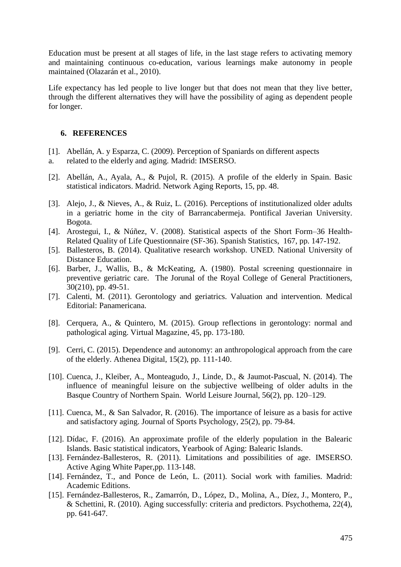Education must be present at all stages of life, in the last stage refers to activating memory and maintaining continuous co-education, various learnings make autonomy in people maintained (Olazarán et al., 2010).

Life expectancy has led people to live longer but that does not mean that they live better, through the different alternatives they will have the possibility of aging as dependent people for longer.

### **6. REFERENCES**

- [1]. Abellán, A. y Esparza, C. (2009). Perception of Spaniards on different aspects
- a. related to the elderly and aging. Madrid: IMSERSO.
- [2]. Abellán, A., Ayala, A., & Pujol, R. (2015). A profile of the elderly in Spain. Basic statistical indicators. Madrid. Network Aging Reports, 15, pp. 48.
- [3]. Alejo, J., & Nieves, A., & Ruiz, L. (2016). Perceptions of institutionalized older adults in a geriatric home in the city of Barrancabermeja. Pontifical Javerian University. Bogota.
- [4]. Arostegui, I., & Núñez, V. (2008). Statistical aspects of the Short Form–36 Health-Related Quality of Life Questionnaire (SF-36). Spanish Statistics, 167, pp. 147-192.
- [5]. Ballesteros, B. (2014). Qualitative research workshop. UNED. National University of Distance Education.
- [6]. Barber, J., Wallis, B., & McKeating, A. (1980). Postal screening questionnaire in preventive geriatric care. The Jorunal of the Royal College of General Practitioners, 30(210), pp. 49-51.
- [7]. Calenti, M. (2011). Gerontology and geriatrics. Valuation and intervention. Medical Editorial: Panamericana.
- [8]. Cerquera, A., & Quintero, M. (2015). Group reflections in gerontology: normal and pathological aging. Virtual Magazine, 45, pp. 173-180.
- [9]. Cerri, C. (2015). Dependence and autonomy: an anthropological approach from the care of the elderly. Athenea Digital, 15(2), pp. 111-140.
- [10]. Cuenca, J., Kleiber, A., Monteagudo, J., Linde, D., & Jaumot-Pascual, N. (2014). The influence of meaningful leisure on the subjective wellbeing of older adults in the Basque Country of Northern Spain. World Leisure Journal, 56(2), pp. 120–129.
- [11]. Cuenca, M., & San Salvador, R. (2016). The importance of leisure as a basis for active and satisfactory aging. Journal of Sports Psychology, 25(2), pp. 79-84.
- [12]. Dídac, F. (2016). An approximate profile of the elderly population in the Balearic Islands. Basic statistical indicators, Yearbook of Aging: Balearic Islands.
- [13]. Fernández-Ballesteros, R. (2011). Limitations and possibilities of age. IMSERSO. Active Aging White Paper,pp. 113-148.
- [14]. Fernández, T., and Ponce de León, L. (2011). Social work with families. Madrid: Academic Editions.
- [15]. Fernández-Ballesteros, R., Zamarrón, D., López, D., Molina, A., Díez, J., Montero, P., & Schettini, R. (2010). Aging successfully: criteria and predictors. Psychothema, 22(4), pp. 641-647.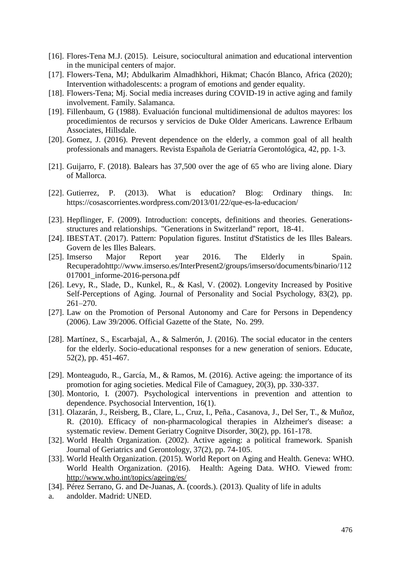- [16]. Flores-Tena M.J. (2015). Leisure, sociocultural animation and educational intervention in the municipal centers of major.
- [17]. Flowers-Tena, MJ; Abdulkarim Almadhkhori, Hikmat; Chacón Blanco, Africa (2020); Intervention withadolescents: a program of emotions and gender equality.
- [18]. Flowers-Tena; Mj. Social media increases during COVID-19 in active aging and family involvement. Family. Salamanca.
- [19]. Fillenbaum, G (1988). Evaluación funcional multidimensional de adultos mayores: los procedimientos de recursos y servicios de Duke Older Americans. Lawrence Erlbaum Associates, Hillsdale.
- [20]. Gomez, J. (2016). Prevent dependence on the elderly, a common goal of all health professionals and managers. Revista Española de Geriatría Gerontológica, 42, pp. 1-3.
- [21]. Guijarro, F. (2018). Balears has 37,500 over the age of 65 who are living alone. Diary of Mallorca.
- [22]. Gutierrez, P. (2013). What is education? Blog: Ordinary things. In: https://cosascorrientes.wordpress.com/2013/01/22/que-es-la-educacion/
- [23]. Hepflinger, F. (2009). Introduction: concepts, definitions and theories. Generationsstructures and relationships. "Generations in Switzerland" report, 18-41.
- [24]. IBESTAT. (2017). Pattern: Population figures. Institut d'Statistics de les Illes Balears. Govern de les Illes Balears.
- [25]. Imserso Major Report year 2016. The Elderly in Spain. Recuperadohttp://www.imserso.es/InterPresent2/groups/imserso/documents/binario/112 017001\_informe-2016-persona.pdf
- [26]. Levy, R., Slade, D., Kunkel, R., & Kasl, V. (2002). Longevity Increased by Positive Self-Perceptions of Aging. Journal of Personality and Social Psychology, 83(2), pp. 261–270.
- [27]. Law on the Promotion of Personal Autonomy and Care for Persons in Dependency (2006). Law 39/2006. Official Gazette of the State, No. 299.
- [28]. Martínez, S., Escarbajal, A., & Salmerón, J. (2016). The social educator in the centers for the elderly. Socio-educational responses for a new generation of seniors. Educate, 52(2), pp. 451-467.
- [29]. Monteagudo, R., García, M., & Ramos, M. (2016). Active ageing: the importance of its promotion for aging societies. Medical File of Camaguey, 20(3), pp. 330-337.
- [30]. Montorio, I. (2007). Psychological interventions in prevention and attention to dependence. Psychosocial Intervention, 16(1).
- [31]. Olazarán, J., Reisberg, B., Clare, L., Cruz, I., Peña., Casanova, J., Del Ser, T., & Muñoz, R. (2010). Efficacy of non-pharmacological therapies in Alzheimer's disease: a systematic review. Dement Geriatry Cognitve Disorder, 30(2), pp. 161-178.
- [32]. World Health Organization. (2002). Active ageing: a political framework. Spanish Journal of Geriatrics and Gerontology, 37(2), pp. 74-105.
- [33]. World Health Organization. (2015). World Report on Aging and Health. Geneva: WHO. World Health Organization. (2016). Health: Ageing Data. WHO. Viewed from: <http://www.who.int/topics/ageing/es/>
- [34]. Pérez Serrano, G. and De-Juanas, A. (coords.). (2013). Quality of life in adults
- a. andolder. Madrid: UNED.